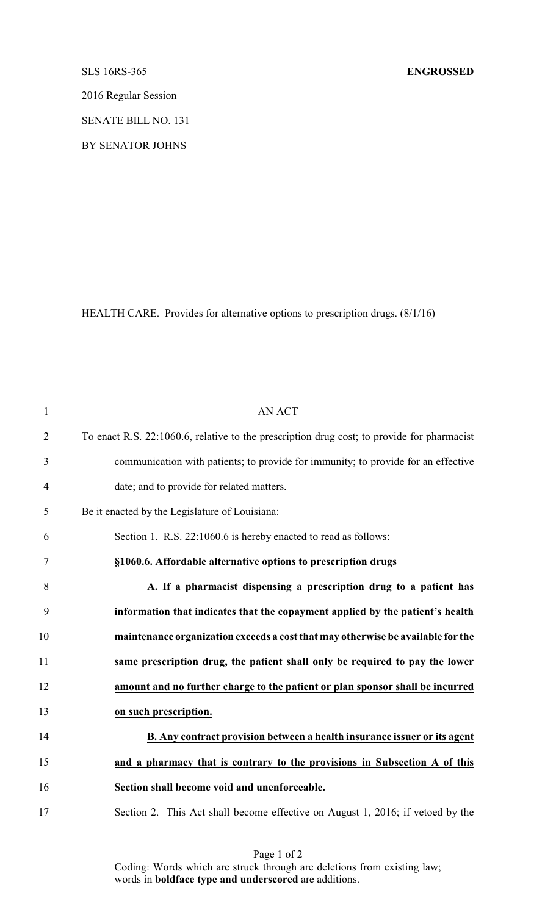## SLS 16RS-365 **ENGROSSED**

2016 Regular Session

SENATE BILL NO. 131

BY SENATOR JOHNS

HEALTH CARE. Provides for alternative options to prescription drugs. (8/1/16)

| $\mathbf{1}$   | <b>AN ACT</b>                                                                              |
|----------------|--------------------------------------------------------------------------------------------|
| $\overline{2}$ | To enact R.S. 22:1060.6, relative to the prescription drug cost; to provide for pharmacist |
| $\mathfrak{Z}$ | communication with patients; to provide for immunity; to provide for an effective          |
| $\overline{4}$ | date; and to provide for related matters.                                                  |
| 5              | Be it enacted by the Legislature of Louisiana:                                             |
| 6              | Section 1. R.S. 22:1060.6 is hereby enacted to read as follows:                            |
| $\tau$         | §1060.6. Affordable alternative options to prescription drugs                              |
| 8              | A. If a pharmacist dispensing a prescription drug to a patient has                         |
| 9              | information that indicates that the copayment applied by the patient's health              |
| 10             | maintenance organization exceeds a cost that may otherwise be available for the            |
| 11             | same prescription drug, the patient shall only be required to pay the lower                |
| 12             | amount and no further charge to the patient or plan sponsor shall be incurred              |
| 13             | on such prescription.                                                                      |
| 14             | B. Any contract provision between a health insurance issuer or its agent                   |
| 15             | and a pharmacy that is contrary to the provisions in Subsection A of this                  |
| 16             | Section shall become void and unenforceable.                                               |
| 17             | Section 2. This Act shall become effective on August 1, 2016; if vetoed by the             |

Page 1 of 2 Coding: Words which are struck through are deletions from existing law; words in **boldface type and underscored** are additions.